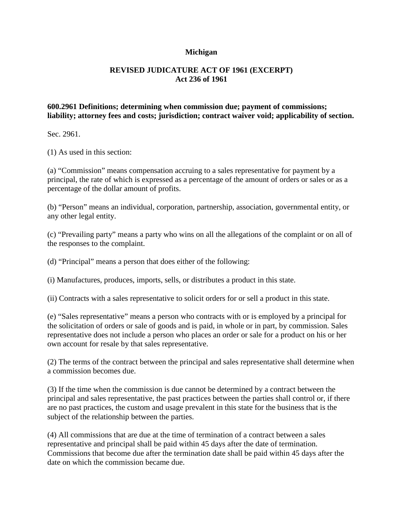## **Michigan**

## **REVISED JUDICATURE ACT OF 1961 (EXCERPT) Act 236 of 1961**

## **600.2961 Definitions; determining when commission due; payment of commissions; liability; attorney fees and costs; jurisdiction; contract waiver void; applicability of section.**

Sec. 2961.

(1) As used in this section:

(a) "Commission" means compensation accruing to a sales representative for payment by a principal, the rate of which is expressed as a percentage of the amount of orders or sales or as a percentage of the dollar amount of profits.

(b) "Person" means an individual, corporation, partnership, association, governmental entity, or any other legal entity.

(c) "Prevailing party" means a party who wins on all the allegations of the complaint or on all of the responses to the complaint.

(d) "Principal" means a person that does either of the following:

(i) Manufactures, produces, imports, sells, or distributes a product in this state.

(ii) Contracts with a sales representative to solicit orders for or sell a product in this state.

(e) "Sales representative" means a person who contracts with or is employed by a principal for the solicitation of orders or sale of goods and is paid, in whole or in part, by commission. Sales representative does not include a person who places an order or sale for a product on his or her own account for resale by that sales representative.

(2) The terms of the contract between the principal and sales representative shall determine when a commission becomes due.

(3) If the time when the commission is due cannot be determined by a contract between the principal and sales representative, the past practices between the parties shall control or, if there are no past practices, the custom and usage prevalent in this state for the business that is the subject of the relationship between the parties.

(4) All commissions that are due at the time of termination of a contract between a sales representative and principal shall be paid within 45 days after the date of termination. Commissions that become due after the termination date shall be paid within 45 days after the date on which the commission became due.